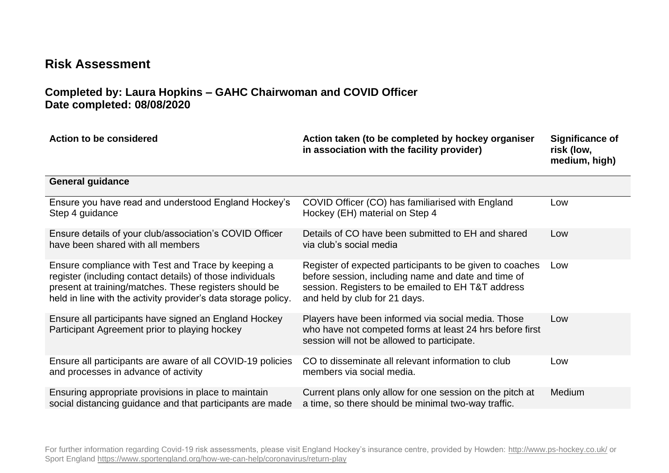## **Risk Assessment**

## **Completed by: Laura Hopkins – GAHC Chairwoman and COVID Officer Date completed: 08/08/2020**

| Action to be considered                                                                                                                                                                                                                     | Action taken (to be completed by hockey organiser<br>in association with the facility provider)                                                                                                        | <b>Significance of</b><br>risk (low,<br>medium, high) |
|---------------------------------------------------------------------------------------------------------------------------------------------------------------------------------------------------------------------------------------------|--------------------------------------------------------------------------------------------------------------------------------------------------------------------------------------------------------|-------------------------------------------------------|
| <b>General guidance</b>                                                                                                                                                                                                                     |                                                                                                                                                                                                        |                                                       |
| Ensure you have read and understood England Hockey's<br>Step 4 guidance                                                                                                                                                                     | COVID Officer (CO) has familiarised with England<br>Hockey (EH) material on Step 4                                                                                                                     | Low                                                   |
| Ensure details of your club/association's COVID Officer<br>have been shared with all members                                                                                                                                                | Details of CO have been submitted to EH and shared<br>via club's social media                                                                                                                          | Low                                                   |
| Ensure compliance with Test and Trace by keeping a<br>register (including contact details) of those individuals<br>present at training/matches. These registers should be<br>held in line with the activity provider's data storage policy. | Register of expected participants to be given to coaches<br>before session, including name and date and time of<br>session. Registers to be emailed to EH T&T address<br>and held by club for 21 days. | Low                                                   |
| Ensure all participants have signed an England Hockey<br>Participant Agreement prior to playing hockey                                                                                                                                      | Players have been informed via social media. Those<br>who have not competed forms at least 24 hrs before first<br>session will not be allowed to participate.                                          | Low                                                   |
| Ensure all participants are aware of all COVID-19 policies<br>and processes in advance of activity                                                                                                                                          | CO to disseminate all relevant information to club<br>members via social media.                                                                                                                        | Low                                                   |
| Ensuring appropriate provisions in place to maintain<br>social distancing guidance and that participants are made                                                                                                                           | Current plans only allow for one session on the pitch at<br>a time, so there should be minimal two-way traffic.                                                                                        | Medium                                                |

For further information regarding Covid-19 risk assessments, please visit England Hockey's insurance centre, provided by Howden:<http://www.ps-hockey.co.uk/> or Sport England<https://www.sportengland.org/how-we-can-help/coronavirus/return-play>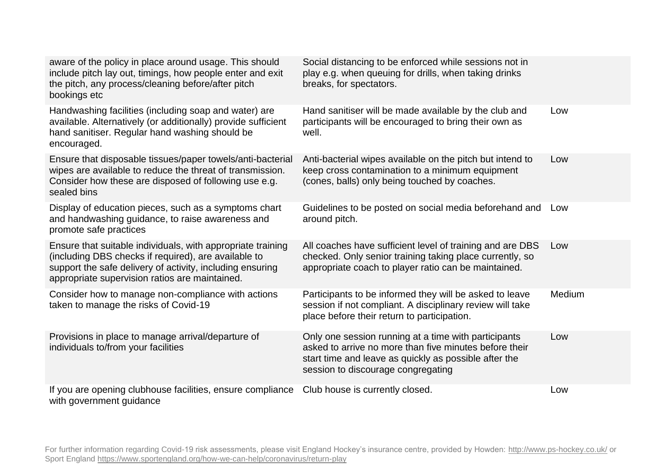| aware of the policy in place around usage. This should<br>include pitch lay out, timings, how people enter and exit<br>the pitch, any process/cleaning before/after pitch<br>bookings etc                                          | Social distancing to be enforced while sessions not in<br>play e.g. when queuing for drills, when taking drinks<br>breaks, for spectators.                                                                    |        |
|------------------------------------------------------------------------------------------------------------------------------------------------------------------------------------------------------------------------------------|---------------------------------------------------------------------------------------------------------------------------------------------------------------------------------------------------------------|--------|
| Handwashing facilities (including soap and water) are<br>available. Alternatively (or additionally) provide sufficient<br>hand sanitiser. Regular hand washing should be<br>encouraged.                                            | Hand sanitiser will be made available by the club and<br>participants will be encouraged to bring their own as<br>well.                                                                                       | Low    |
| Ensure that disposable tissues/paper towels/anti-bacterial<br>wipes are available to reduce the threat of transmission.<br>Consider how these are disposed of following use e.g.<br>sealed bins                                    | Anti-bacterial wipes available on the pitch but intend to<br>keep cross contamination to a minimum equipment<br>(cones, balls) only being touched by coaches.                                                 | Low    |
| Display of education pieces, such as a symptoms chart<br>and handwashing guidance, to raise awareness and<br>promote safe practices                                                                                                | Guidelines to be posted on social media beforehand and<br>around pitch.                                                                                                                                       | Low    |
| Ensure that suitable individuals, with appropriate training<br>(including DBS checks if required), are available to<br>support the safe delivery of activity, including ensuring<br>appropriate supervision ratios are maintained. | All coaches have sufficient level of training and are DBS<br>checked. Only senior training taking place currently, so<br>appropriate coach to player ratio can be maintained.                                 | Low    |
| Consider how to manage non-compliance with actions<br>taken to manage the risks of Covid-19                                                                                                                                        | Participants to be informed they will be asked to leave<br>session if not compliant. A disciplinary review will take<br>place before their return to participation.                                           | Medium |
| Provisions in place to manage arrival/departure of<br>individuals to/from your facilities                                                                                                                                          | Only one session running at a time with participants<br>asked to arrive no more than five minutes before their<br>start time and leave as quickly as possible after the<br>session to discourage congregating | Low    |
| If you are opening clubhouse facilities, ensure compliance<br>with government guidance                                                                                                                                             | Club house is currently closed.                                                                                                                                                                               | Low    |

For further information regarding Covid-19 risk assessments, please visit England Hockey's insurance centre, provided by Howden:<http://www.ps-hockey.co.uk/> or Sport England<https://www.sportengland.org/how-we-can-help/coronavirus/return-play>